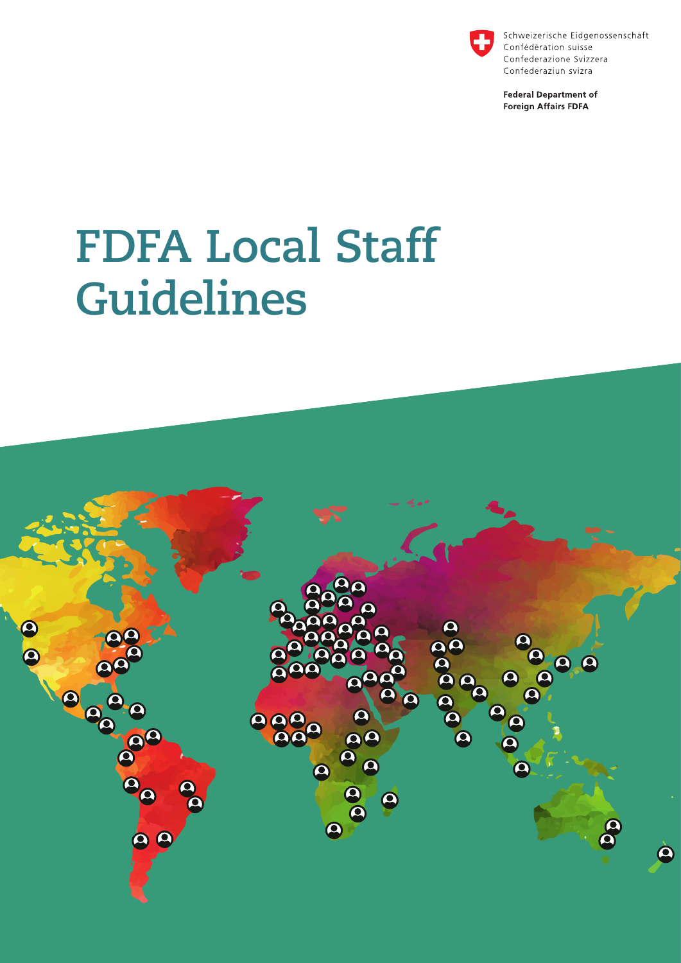

Schweizerische Eidgenossenschaft Confédération suisse Confederazione Svizzera Confederaziun svizra

**Federal Department of Foreign Affairs FDFA** 

# **FDFA Local Staff Guidelines**

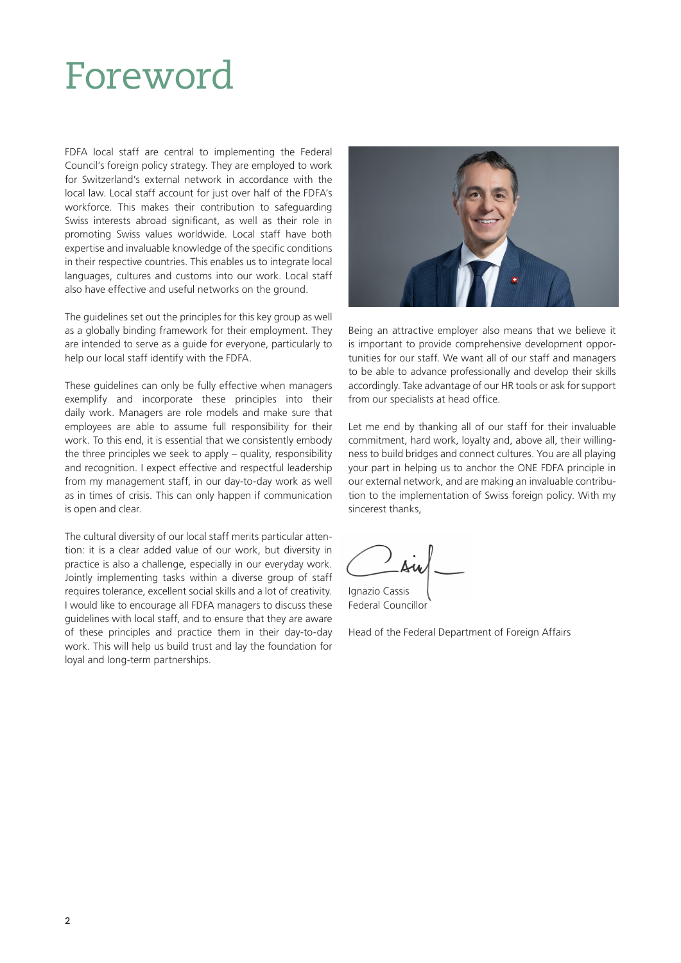### Foreword

FDFA local staff are central to implementing the Federal Council's foreign policy strategy. They are employed to work for Switzerland's external network in accordance with the local law. Local staff account for just over half of the FDFA's workforce. This makes their contribution to safeguarding Swiss interests abroad significant, as well as their role in promoting Swiss values worldwide. Local staff have both expertise and invaluable knowledge of the specific conditions in their respective countries. This enables us to integrate local languages, cultures and customs into our work. Local staff also have effective and useful networks on the ground.

The guidelines set out the principles for this key group as well as a globally binding framework for their employment. They are intended to serve as a guide for everyone, particularly to help our local staff identify with the FDFA.

These guidelines can only be fully effective when managers exemplify and incorporate these principles into their daily work. Managers are role models and make sure that employees are able to assume full responsibility for their work. To this end, it is essential that we consistently embody the three principles we seek to apply – quality, responsibility and recognition. I expect effective and respectful leadership from my management staff, in our day-to-day work as well as in times of crisis. This can only happen if communication is open and clear.

The cultural diversity of our local staff merits particular attention: it is a clear added value of our work, but diversity in practice is also a challenge, especially in our everyday work. Jointly implementing tasks within a diverse group of staff requires tolerance, excellent social skills and a lot of creativity. I would like to encourage all FDFA managers to discuss these guidelines with local staff, and to ensure that they are aware of these principles and practice them in their day-to-day work. This will help us build trust and lay the foundation for loyal and long-term partnerships.



Being an attractive employer also means that we believe it is important to provide comprehensive development opportunities for our staff. We want all of our staff and managers to be able to advance professionally and develop their skills accordingly. Take advantage of our HR tools or ask for support from our specialists at head office.

Let me end by thanking all of our staff for their invaluable commitment, hard work, loyalty and, above all, their willingness to build bridges and connect cultures. You are all playing your part in helping us to anchor the ONE FDFA principle in our external network, and are making an invaluable contribution to the implementation of Swiss foreign policy. With my sincerest thanks,

Ignazio Cassis Federal Councillor

Head of the Federal Department of Foreign Affairs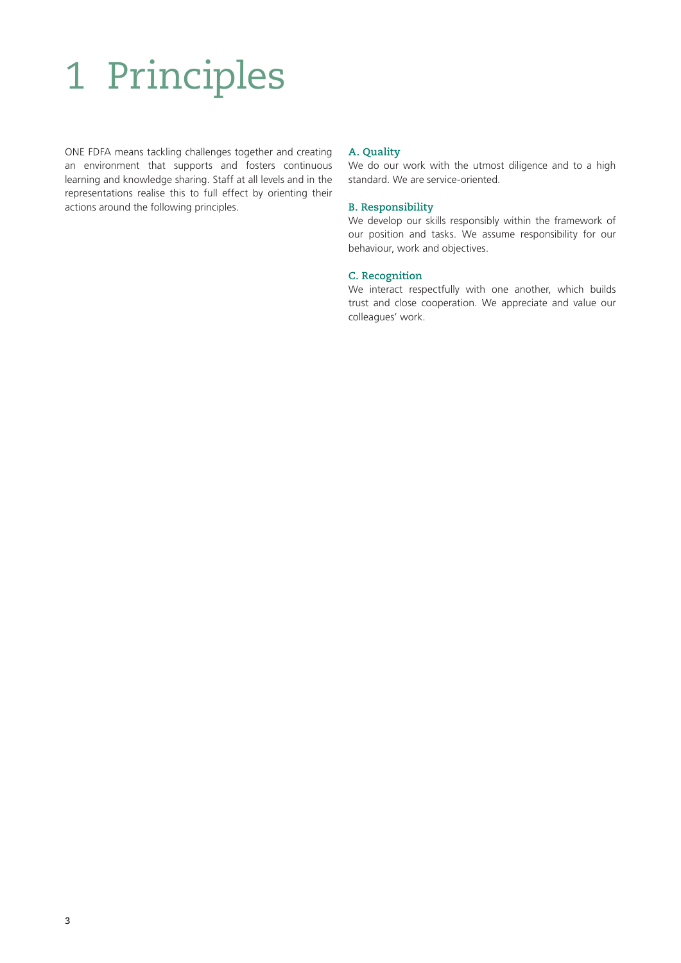# 1 Principles

ONE FDFA means tackling challenges together and creating an environment that supports and fosters continuous learning and knowledge sharing. Staff at all levels and in the representations realise this to full effect by orienting their actions around the following principles.

#### **A. Quality**

We do our work with the utmost diligence and to a high standard. We are service-oriented.

#### **B. Responsibility**

We develop our skills responsibly within the framework of our position and tasks. We assume responsibility for our behaviour, work and objectives.

#### **C. Recognition**

We interact respectfully with one another, which builds trust and close cooperation. We appreciate and value our colleagues' work.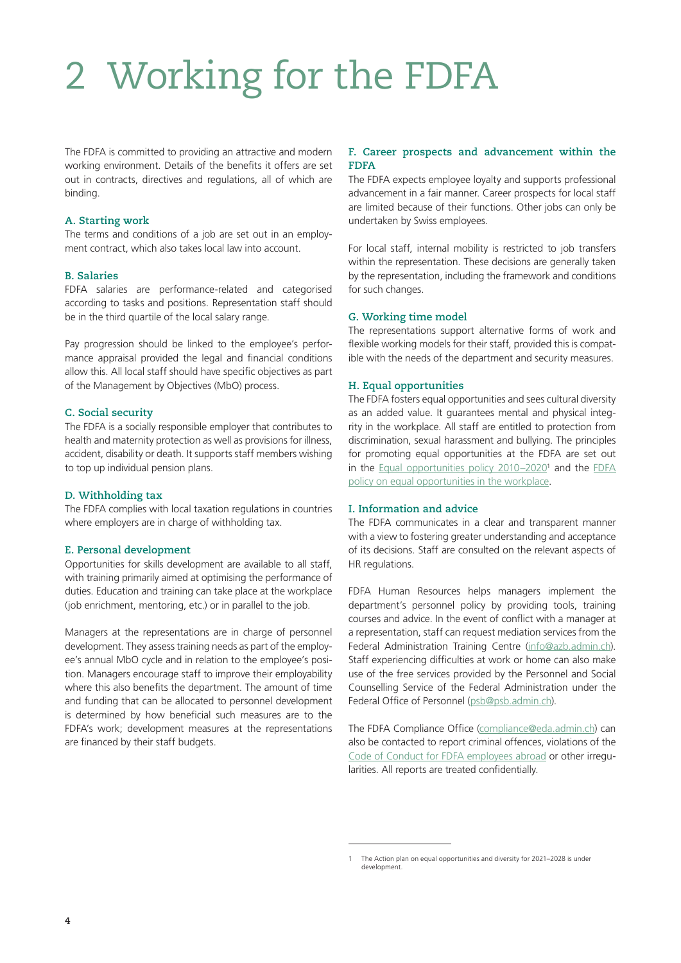## 2 Working for the FDFA

The FDFA is committed to providing an attractive and modern working environment. Details of the benefits it offers are set out in contracts, directives and regulations, all of which are binding.

#### **A. Starting work**

The terms and conditions of a job are set out in an employment contract, which also takes local law into account.

#### **B. Salaries**

FDFA salaries are performance-related and categorised according to tasks and positions. Representation staff should be in the third quartile of the local salary range.

Pay progression should be linked to the employee's performance appraisal provided the legal and financial conditions allow this. All local staff should have specific objectives as part of the Management by Objectives (MbO) process.

#### **C. Social security**

The FDFA is a socially responsible employer that contributes to health and maternity protection as well as provisions for illness, accident, disability or death. It supports staff members wishing to top up individual pension plans.

#### **D. Withholding tax**

The FDFA complies with local taxation regulations in countries where employers are in charge of withholding tax.

#### **E. Personal development**

Opportunities for skills development are available to all staff, with training primarily aimed at optimising the performance of duties. Education and training can take place at the workplace (job enrichment, mentoring, etc.) or in parallel to the job.

Managers at the representations are in charge of personnel development. They assess training needs as part of the employee's annual MbO cycle and in relation to the employee's position. Managers encourage staff to improve their employability where this also benefits the department. The amount of time and funding that can be allocated to personnel development is determined by how beneficial such measures are to the FDFA's work; development measures at the representations are financed by their staff budgets.

#### **F. Career prospects and advancement within the FDFA**

The FDFA expects employee loyalty and supports professional advancement in a fair manner. Career prospects for local staff are limited because of their functions. Other jobs can only be undertaken by Swiss employees.

For local staff, internal mobility is restricted to job transfers within the representation. These decisions are generally taken by the representation, including the framework and conditions for such changes.

#### **G. Working time model**

The representations support alternative forms of work and flexible working models for their staff, provided this is compatible with the needs of the department and security measures.

#### **H. Equal opportunities**

The FDFA fosters equal opportunities and sees cultural diversity as an added value. It guarantees mental and physical integrity in the workplace. All staff are entitled to protection from discrimination, sexual harassment and bullying. The principles for promoting equal opportunities at the FDFA are set out in the [Equal opportunities policy 2010–2020](https://www.collaboration.eda.admin.ch/en/Documents/Politik_Chancengleichheit_2010-2020_EN.pdf)<sup>1</sup> and the FDFA [policy on equal opportunities in the workplace.](https://www.eda.admin.ch/dam/respect-at-fdfa/en/documents/workplace-policy_en.pdf)

#### **I. Information and advice**

The FDFA communicates in a clear and transparent manner with a view to fostering greater understanding and acceptance of its decisions. Staff are consulted on the relevant aspects of HR regulations.

FDFA Human Resources helps managers implement the department's personnel policy by providing tools, training courses and advice. In the event of conflict with a manager at a representation, staff can request mediation services from the Federal Administration Training Centre [\(info@azb.admin.ch\)](mailto:info%40azb.admin.ch?subject=). Staff experiencing difficulties at work or home can also make use of the free services provided by the Personnel and Social Counselling Service of the Federal Administration under the Federal Office of Personnel [\(psb@psb.admin.ch](mailto:psb%40psb.admin.ch?subject=)).

The FDFA Compliance Office [\(compliance@eda.admin.ch\)](mailto:compliance%40eda.admin.ch?subject=) can also be contacted to report criminal offences, violations of the [Code of Conduct for FDFA employees abroad](https://www.collaboration.eda.admin.ch/en/Documents/Code-of-conduct-EDA_EN.pdf) or other irregularities. All reports are treated confidentially.

<sup>1</sup> The Action plan on equal opportunities and diversity for 2021–2028 is under development.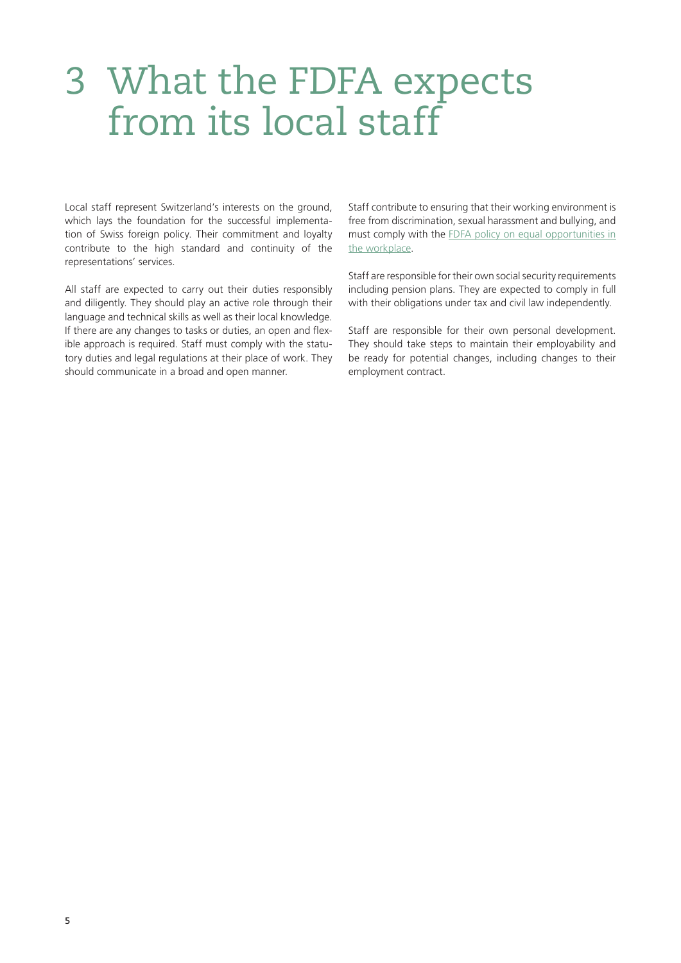### 3 What the FDFA expects from its local staff

Local staff represent Switzerland's interests on the ground, which lays the foundation for the successful implementation of Swiss foreign policy. Their commitment and loyalty contribute to the high standard and continuity of the representations' services.

All staff are expected to carry out their duties responsibly and diligently. They should play an active role through their language and technical skills as well as their local knowledge. If there are any changes to tasks or duties, an open and flexible approach is required. Staff must comply with the statutory duties and legal regulations at their place of work. They should communicate in a broad and open manner.

Staff contribute to ensuring that their working environment is free from discrimination, sexual harassment and bullying, and must comply with the [FDFA policy on equal opportunities in](https://www.eda.admin.ch/dam/respect-at-fdfa/en/documents/workplace-policy_en.pdf)  [the workplace](https://www.eda.admin.ch/dam/respect-at-fdfa/en/documents/workplace-policy_en.pdf).

Staff are responsible for their own social security requirements including pension plans. They are expected to comply in full with their obligations under tax and civil law independently.

Staff are responsible for their own personal development. They should take steps to maintain their employability and be ready for potential changes, including changes to their employment contract.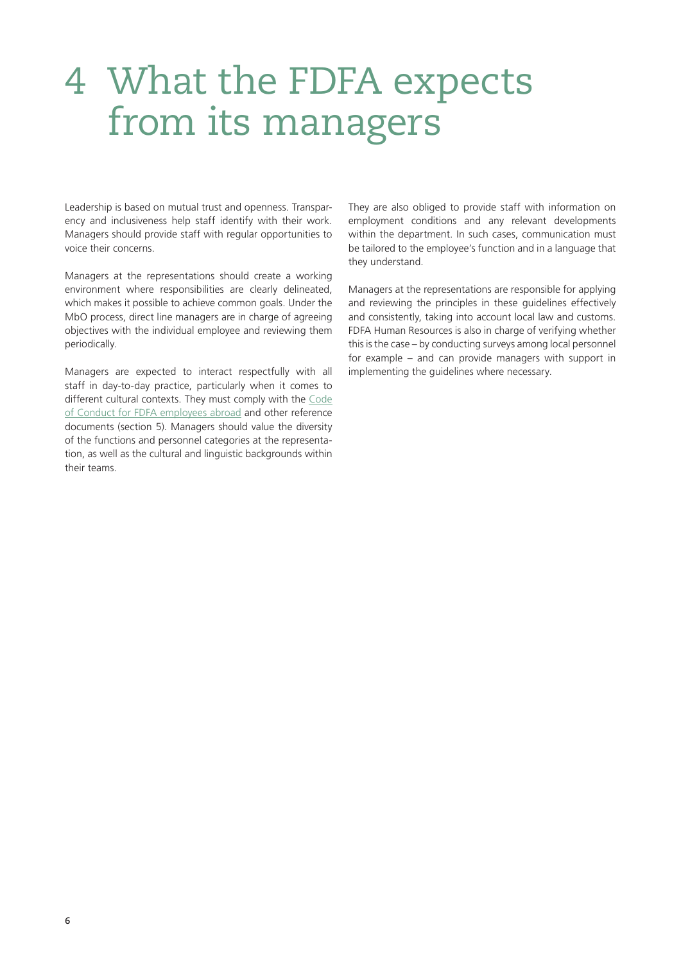### 4 What the FDFA expects from its managers

Leadership is based on mutual trust and openness. Transparency and inclusiveness help staff identify with their work. Managers should provide staff with regular opportunities to voice their concerns.

Managers at the representations should create a working environment where responsibilities are clearly delineated, which makes it possible to achieve common goals. Under the MbO process, direct line managers are in charge of agreeing objectives with the individual employee and reviewing them periodically.

Managers are expected to interact respectfully with all staff in day-to-day practice, particularly when it comes to different cultural contexts. They must comply with the [Code](https://www.eda.admin.ch/dam/respect-at-fdfa/en/documents/Code-of-conduct-EDA_EN.pdf)  [of Conduct for FDFA employees abroad](https://www.eda.admin.ch/dam/respect-at-fdfa/en/documents/Code-of-conduct-EDA_EN.pdf) and other reference documents (section 5). Managers should value the diversity of the functions and personnel categories at the representation, as well as the cultural and linguistic backgrounds within their teams.

They are also obliged to provide staff with information on employment conditions and any relevant developments within the department. In such cases, communication must be tailored to the employee's function and in a language that they understand.

Managers at the representations are responsible for applying and reviewing the principles in these guidelines effectively and consistently, taking into account local law and customs. FDFA Human Resources is also in charge of verifying whether this is the case – by conducting surveys among local personnel for example – and can provide managers with support in implementing the guidelines where necessary.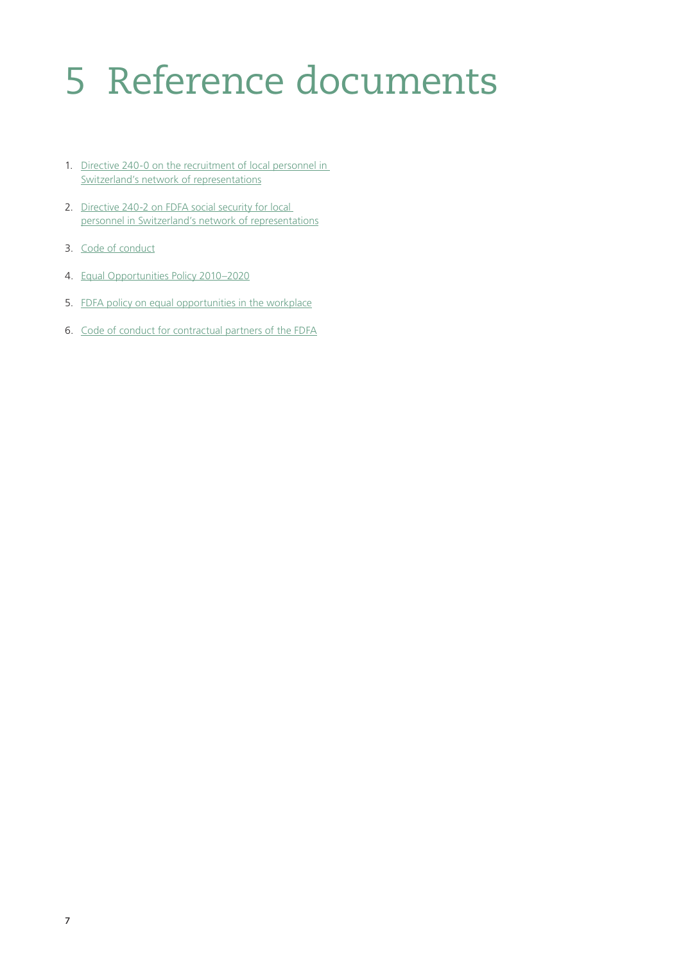# 5 Reference documents

- 1. [Directive 240-0 on the recruitment of local personnel in](https://www.collaboration.eda.admin.ch/en/Documents/240-0_EN.pdf)  [Switzerland's network of representations](https://www.collaboration.eda.admin.ch/en/Documents/240-0_EN.pdf)
- 2. Directive 240-2 on FDFA social security for local [personnel in Switzerland's network of representations](https://www.collaboration.eda.admin.ch/en/Documents/240-2_EN.pdf)
- 3. [Code of conduct](https://www.eda.admin.ch/dam/respect-at-fdfa/en/documents/Code-of-conduct-EDA_EN.pdf)
- 4. [Equal Opportunities Policy 2010–2020](https://www.collaboration.eda.admin.ch/en/Documents/Politik_Chancengleichheit_2010-2020_EN.pdf)
- 5. [FDFA policy on equal opportunities in the workplace](https://www.eda.admin.ch/dam/respect-at-fdfa/en/documents/workplace-policy_en.pdf)
- 6. [Code of conduct for contractual partners of the FDFA](https://www.eda.admin.ch/dam/eda/en/documents/dienstleistungen-publikationen/code-conduct-partners_EN.pdf)